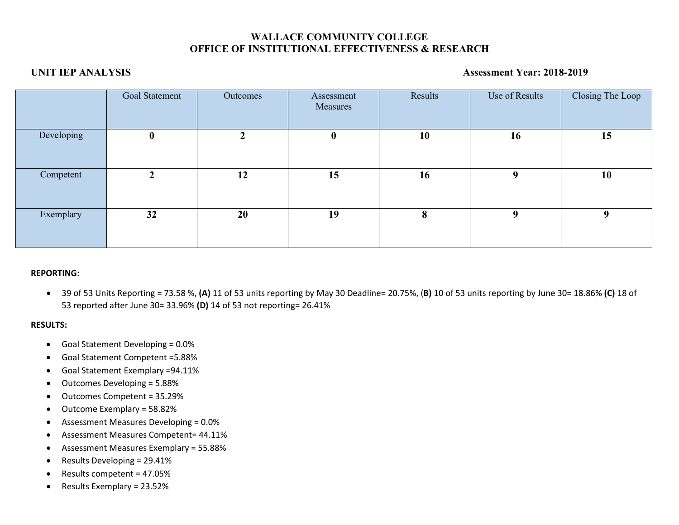# **WALLACE COMMUNITY COLLEGE OFFICE OF INSTITUTIONAL EFFECTIVENESS & RESEARCH**

# **UNIT IEP ANALYSIS Assessment Year: 2018-2019**

|            | Goal Statement | Outcomes | Assessment<br>Measures | Results | Use of Results | Closing The Loop |
|------------|----------------|----------|------------------------|---------|----------------|------------------|
| Developing | $\bf{0}$       | ◠        | $\bf{0}$               | 10      | 16             | 15               |
| Competent  | ∠              | 12       | 15                     | 16      | 9              | 10               |
| Exemplary  | 32             | 20       | 19                     | 8       | 9              | q                |

## **REPORTING:**

• 39 of 53 Units Reporting = 73.58 %, **(A)** 11 of 53 units reporting by May 30 Deadline= 20.75%, (**B)** 10 of 53 units reporting by June 30= 18.86% **(C)** 18 of 53 reported after June 30= 33.96% **(D)** 14 of 53 not reporting= 26.41%

## **RESULTS:**

- Goal Statement Developing = 0.0%
- Goal Statement Competent =5.88%
- Goal Statement Exemplary =94.11%
- Outcomes Developing = 5.88%
- Outcomes Competent = 35.29%
- Outcome Exemplary = 58.82%
- Assessment Measures Developing = 0.0%
- Assessment Measures Competent= 44.11%
- Assessment Measures Exemplary = 55.88%
- Results Developing = 29.41%
- Results competent = 47.05%
- Results Exemplary = 23.52%